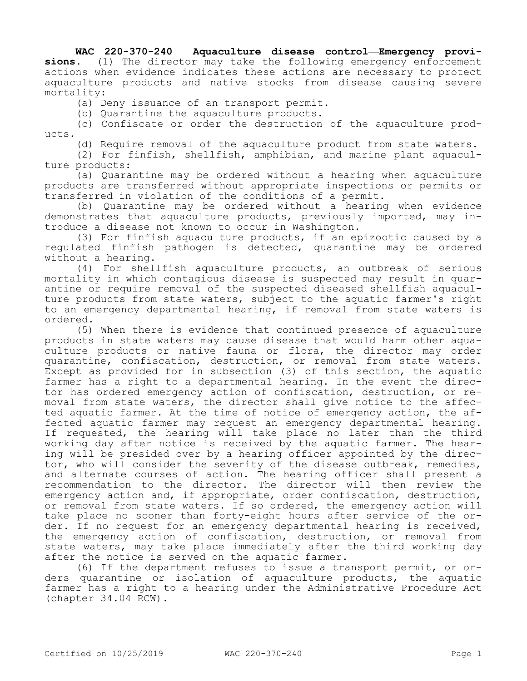## **WAC 220-370-240 Aquaculture disease control—Emergency provi-**

**sions.** (1) The director may take the following emergency enforcement actions when evidence indicates these actions are necessary to protect aquaculture products and native stocks from disease causing severe mortality:

(a) Deny issuance of an transport permit.

(b) Quarantine the aquaculture products.

(c) Confiscate or order the destruction of the aquaculture products.

(d) Require removal of the aquaculture product from state waters.

(2) For finfish, shellfish, amphibian, and marine plant aquaculture products:

(a) Quarantine may be ordered without a hearing when aquaculture products are transferred without appropriate inspections or permits or transferred in violation of the conditions of a permit.

(b) Quarantine may be ordered without a hearing when evidence demonstrates that aquaculture products, previously imported, may introduce a disease not known to occur in Washington.

(3) For finfish aquaculture products, if an epizootic caused by a regulated finfish pathogen is detected, quarantine may be ordered without a hearing.

(4) For shellfish aquaculture products, an outbreak of serious mortality in which contagious disease is suspected may result in quarantine or require removal of the suspected diseased shellfish aquaculture products from state waters, subject to the aquatic farmer's right to an emergency departmental hearing, if removal from state waters is ordered.

(5) When there is evidence that continued presence of aquaculture products in state waters may cause disease that would harm other aquaculture products or native fauna or flora, the director may order quarantine, confiscation, destruction, or removal from state waters. Except as provided for in subsection (3) of this section, the aquatic farmer has a right to a departmental hearing. In the event the director has ordered emergency action of confiscation, destruction, or removal from state waters, the director shall give notice to the affected aquatic farmer. At the time of notice of emergency action, the affected aquatic farmer may request an emergency departmental hearing. If requested, the hearing will take place no later than the third working day after notice is received by the aquatic farmer. The hearing will be presided over by a hearing officer appointed by the director, who will consider the severity of the disease outbreak, remedies, and alternate courses of action. The hearing officer shall present a recommendation to the director. The director will then review the emergency action and, if appropriate, order confiscation, destruction, or removal from state waters. If so ordered, the emergency action will take place no sooner than forty-eight hours after service of the order. If no request for an emergency departmental hearing is received, the emergency action of confiscation, destruction, or removal from state waters, may take place immediately after the third working day after the notice is served on the aquatic farmer.

(6) If the department refuses to issue a transport permit, or orders quarantine or isolation of aquaculture products, the aquatic farmer has a right to a hearing under the Administrative Procedure Act (chapter 34.04 RCW).